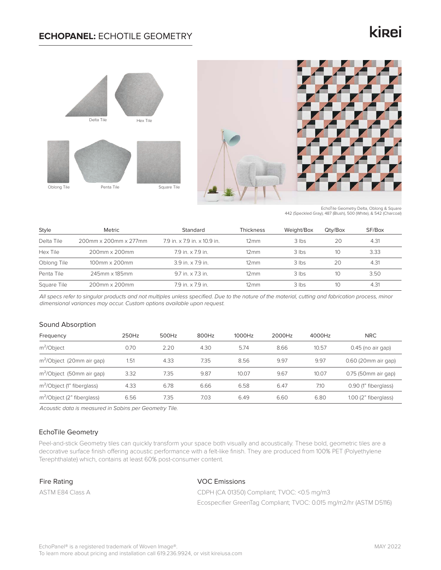## **ECHOPANEL:** ECHOTILE GEOMETRY

# kinei





EchoTile Geometry Delta, Oblong & Square 442 (Speckled Gray), 487 (Blush), 500 (White), & 542 (Charcoal)

| Style       | Metric                  | Standard                     | Thickness          | Weight/Box | Qtv/Box | SF/Box |
|-------------|-------------------------|------------------------------|--------------------|------------|---------|--------|
| Delta Tile  | 200mm x 200mm x 277mm   | 7.9 in. x 7.9 in. x 10.9 in. | $12 \,\mathrm{mm}$ | $3$ lbs    | 20      | 4.31   |
| Hex Tile    | 200mm x 200mm           | 7.9 in. x 7.9 in.            | $12 \,\mathrm{mm}$ | 3 lbs      | 10      | 3.33   |
| Oblong Tile | $100$ mm $\times$ 200mm | $39$ in $\times$ 79 in       | $12 \,\mathrm{mm}$ | $3$ lbs    | 20      | 4.31   |
| Penta Tile  | 245mm x 185mm           | 9.7 in. x 7.3 in.            | $12 \,\mathrm{mm}$ | $3$ lbs    | 10      | 3.50   |
| Square Tile | 200mm x 200mm           | 7.9 in. x 7.9 in.            | $12 \,\mathrm{mm}$ | 3 lbs      | 10      | 4.31   |

*All specs refer to singular products and not multiples unless specified. Due to the nature of the material, cutting and fabrication process, minor dimensional variances may occur. Custom options available upon request.*

## Sound Absorption

| Frequency                              | 250Hz | 500Hz | 800Hz | 1000Hz | 2000Hz | 4000Hz | <b>NRC</b>           |
|----------------------------------------|-------|-------|-------|--------|--------|--------|----------------------|
| $m^2$ Object                           | 0.70  | 2.20  | 4.30  | 5.74   | 8.66   | 10.57  | $0.45$ (no air gap)  |
| m <sup>2</sup> /Object (20mm air gap)  | 1.51  | 4.33  | 7.35  | 8.56   | 9.97   | 9.97   | 0.60 (20mm air gap)  |
| m <sup>2</sup> /Object (50mm air gap)  | 3.32  | 7.35  | 9.87  | 10.07  | 9.67   | 10.07  | 0.75 (50mm air gap)  |
| m <sup>2</sup> /Object (1" fiberglass) | 4.33  | 6.78  | 6.66  | 6.58   | 6.47   | 7.10   | 0.90 (1" fiberglass) |
| m <sup>2</sup> /Object (2" fiberglass) | 6.56  | 7.35  | 7.03  | 6.49   | 6.60   | 6.80   | 1.00 (2" fiberglass) |

*Acoustic data is measured in Sabins per Geometry Tile.*

## EchoTile Geometry

Peel-and-stick Geometry tiles can quickly transform your space both visually and acoustically. These bold, geometric tiles are a decorative surface finish offering acoustic performance with a felt-like finish. They are produced from 100% PET (Polyethylene Terephthalate) which, contains at least 60% post-consumer content.

## Fire Rating

ASTM E84 Class A

## VOC Emissions

CDPH (CA 01350) Compliant; TVOC: <0.5 mg/m3 Ecospecifier GreenTag Compliant; TVOC: 0.015 mg/m2/hr (ASTM D5116)